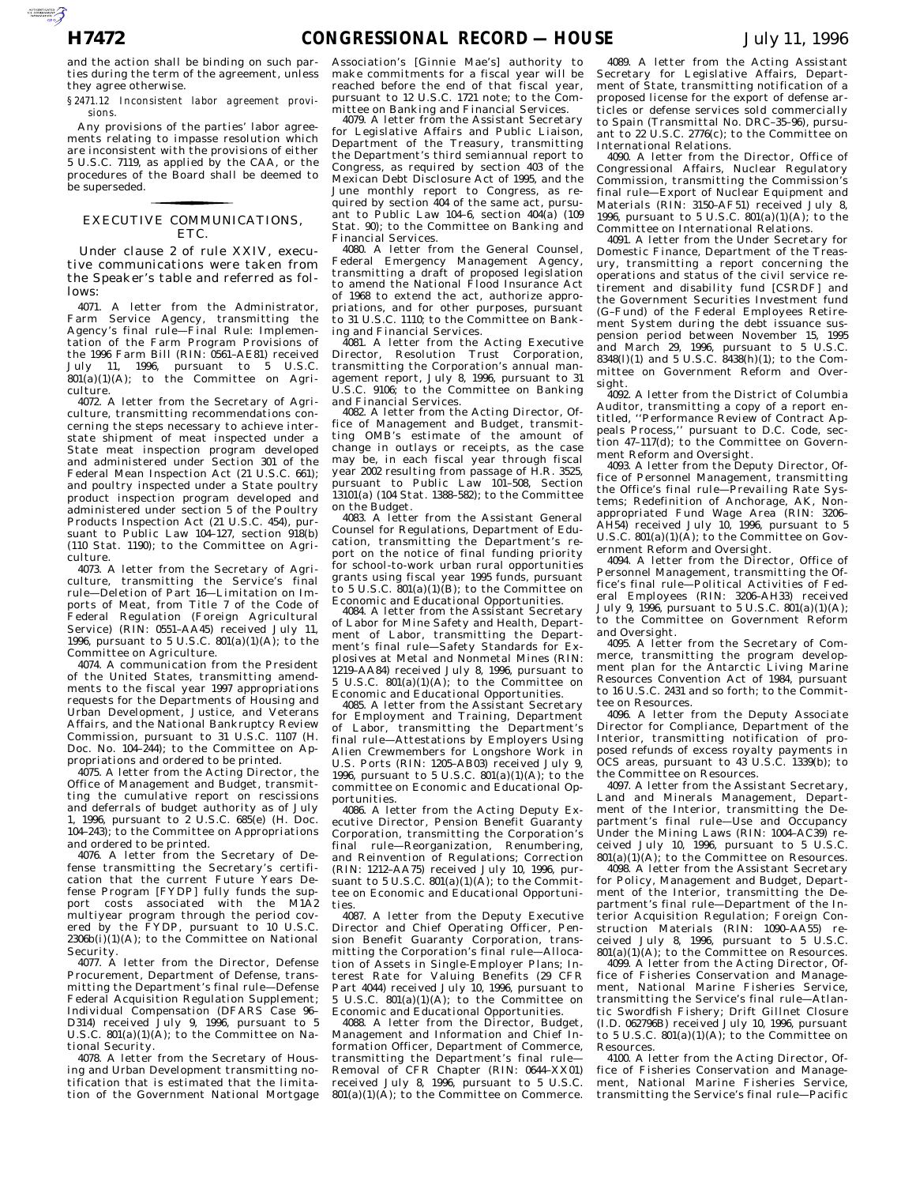AUTOROUGH AND CROSS

and the action shall be binding on such parties during the term of the agreement, unless they agree otherwise.

*§ 2471.12 Inconsistent labor agreement provisions.*

Any provisions of the parties' labor agreements relating to impasse resolution which are inconsistent with the provisions of either 5 U.S.C. 7119, as applied by the CAA, or the procedures of the Board shall be deemed to be superseded.

## EXECUTIVE COMMUNICATIONS, for the control of the control of ETC.

Under clause 2 of rule XXIV, executive communications were taken from the Speaker's table and referred as follows:

4071. A letter from the Administrator, Farm Service Agency, transmitting the Agency's final rule—Final Rule: Implementation of the Farm Program Provisions of the 1996 Farm Bill (RIN: 0561–AE81) received July 11, 1996, pursuant to 5 U.S.C.  $801(a)(1)(A)$ ; to the Committee on Agriculture.

4072. A letter from the Secretary of Agriculture, transmitting recommendations concerning the steps necessary to achieve interstate shipment of meat inspected under a State meat inspection program developed and administered under Section 301 of the Federal Mean Inspection Act (21 U.S.C. 661); and poultry inspected under a State poultry product inspection program developed and administered under section 5 of the Poultry Products Inspection Act (21 U.S.C. 454), pursuant to Public Law 104–127, section 918(b) (110 Stat. 1190); to the Committee on Agriculture.

4073. A letter from the Secretary of Agriculture, transmitting the Service's final rule—Deletion of Part 16—Limitation on Imports of Meat, from Title 7 of the Code of Federal Regulation (Foreign Agricultural Service) (RIN: 0551-AA45) received July 11, 1996, pursuant to 5 U.S.C. 801(a)(1)(A); to the Committee on Agriculture.

4074. A communication from the President of the United States, transmitting amendments to the fiscal year 1997 appropriations requests for the Departments of Housing and Urban Development, Justice, and Veterans Affairs, and the National Bankruptcy Review Commission, pursuant to 31 U.S.C. 1107 (H. Doc. No. 104–244); to the Committee on Appropriations and ordered to be printed.

4075. A letter from the Acting Director, the Office of Management and Budget, transmitting the cumulative report on rescissions and deferrals of budget authority as of July 1, 1996, pursuant to 2 U.S.C. 685(e) (H. Doc. 104–243); to the Committee on Appropriations and ordered to be printed.

4076. A letter from the Secretary of Defense transmitting the Secretary's certification that the current Future Years Defense Program [FYDP] fully funds the support costs associated with the M1A2 multiyear program through the period covered by the FYDP, pursuant to 10 U.S.C.  $2306b(i)(1)(A)$ ; to the Committee on National Security.

4077. A letter from the Director, Defense Procurement, Department of Defense, transmitting the Department's final rule—Defense Federal Acquisition Regulation Supplement; Individual Compensation (DFARS Case 96-D314) received July 9, 1996, pursuant to 5 U.S.C. 801(a)(1)(A); to the Committee on National Security.

4078. A letter from the Secretary of Housing and Urban Development transmitting notification that is estimated that the limitation of the Government National Mortgage

Association's [Ginnie Mae's] authority to make commitments for a fiscal year will be reached before the end of that fiscal year, pursuant to 12 U.S.C. 1721 note; to the Committee on Banking and Financial Services.

4079. A letter from the Assistant Secretary for Legislative Affairs and Public Liaison, Department of the Treasury, transmitting the Department's third semiannual report to Congress, as required by section 403 of the Mexican Debt Disclosure Act of 1995, and the June monthly report to Congress, as required by section 404 of the same act, pursuant to Public Law 104-6, section  $404(a)$  (109 Stat. 90); to the Committee on Banking and Financial Services.

4080. A letter from the General Counsel, Federal Emergency Management Agency, transmitting a draft of proposed legislation to amend the National Flood Insurance Act of 1968 to extend the act, authorize appropriations, and for other purposes, pursuant to 31 U.S.C. 1110; to the Committee on Banking and Financial Services.

4081. A letter from the Acting Executive Director, Resolution Trust Corporation, transmitting the Corporation's annual management report, July 8, 1996, pursuant to 31 U.S.C. 9106; to the Committee on Banking and Financial Services.

4082. A letter from the Acting Director, Office of Management and Budget, transmitting OMB's estimate of the amount of change in outlays or receipts, as the case may be, in each fiscal year through fiscal year 2002 resulting from passage of H.R. 3525, pursuant to Public Law 101–508, Section 13101(a) (104 Stat. 1388–582); to the Committee on the Budget.

4083. A letter from the Assistant General Counsel for Regulations, Department of Education, transmitting the Department's report on the notice of final funding priority for school-to-work urban rural opportunities grants using fiscal year 1995 funds, pursuant to 5 U.S.C.  $\overline{801(a)(1)(B)}$ ; to the Committee on Economic and Educational Opportunities.

4084. A letter from the Assistant Secretary of Labor for Mine Safety and Health, Department of Labor, transmitting the Department's final rule—Safety Standards for Explosives at Metal and Nonmetal Mines (RIN: 1219–AA84) received July 8, 1996, pursuant to 5 U.S.C.  $801(a)(1)(A)$ ; to the Committee on Economic and Educational Opportunities.

4085. A letter from the Assistant Secretary for Employment and Training, Department of Labor, transmitting the Department's final rule—Attestations by Employers Using Alien Crewmembers for Longshore Work in U.S. Ports (RIN: 1205–AB03) received July 9, 1996, pursuant to 5 U.S.C.  $801(a)(1)(A)$ ; to the committee on Economic and Educational Opportunities.

4086. A letter from the Acting Deputy Executive Director, Pension Benefit Guaranty Corporation, transmitting the Corporation's final rule—Reorganization, Renumbering, and Reinvention of Regulations; Correction (RIN: 1212–AA75) received July 10, 1996, pursuant to  $5$  U.S.C.  $801(a)(1)(A)$ ; to the Committee on Economic and Educational Opportunities.

4087. A letter from the Deputy Executive Director and Chief Operating Officer, Pension Benefit Guaranty Corporation, transmitting the Corporation's final rule—Allocation of Assets in Single-Employer Plans; Interest Rate for Valuing Benefits (29 CFR Part 4044) received July 10, 1996, pursuant to 5 U.S.C.  $801(a)(1)(A)$ ; to the Committee on Economic and Educational Opportunities.

4088. A letter from the Director, Budget, Management and Information and Chief Information Officer, Department of Commerce, transmitting the Department's final rule— Removal of CFR Chapter (RIN: 0644–XX01) received July 8, 1996, pursuant to 5 U.S.C.  $801(a)(1)(A)$ ; to the Committee on Commerce.

4089. A letter from the Acting Assistant Secretary for Legislative Affairs, Department of State, transmitting notification of a proposed license for the export of defense articles or defense services sold commercially to Spain (Transmittal No. DRC–35–96), pursuant to 22 U.S.C. 2776(c); to the Committee on International Relations.

4090. A letter from the Director, Office of Congressional Affairs, Nuclear Regulatory Commission, transmitting the Commission's final rule—Export of Nuclear Equipment and Materials (RIN: 3150–AF51) received July 8, 1996, pursuant to 5 U.S.C.  $801(a)(1)(A)$ ; to the Committee on International Relations.

4091. A letter from the Under Secretary for Domestic Finance, Department of the Treasury, transmitting a report concerning the operations and status of the civil service retirement and disability fund [CSRDF] and the Government Securities Investment fund (G–Fund) of the Federal Employees Retirement System during the debt issuance suspension period between November 15, 1995 and March 29, 1996, pursuant to 5 U.S.C. 8348(l)(1) and 5 U.S.C. 8438(h)(1); to the Committee on Government Reform and Oversight.

4092. A letter from the District of Columbia Auditor, transmitting a copy of a report entitled, ''Performance Review of Contract Appeals Process,'' pursuant to D.C. Code, section 47–117(d); to the Committee on Government Reform and Oversight.

4093. A letter from the Deputy Director, Office of Personnel Management, transmitting the Office's final rule—Prevailing Rate Systems; Redefinition of Anchorage, AK, Nonappropriated Fund Wage Area (RIN: 3206– AH54) received July 10, 1996, pursuant to 5 U.S.C. 801(a)(1)(A); to the Committee on Government Reform and Oversight.

4094. A letter from the Director, Office of Personnel Management, transmitting the Office's final rule—Political Activities of Federal Employees (RIN: 3206–AH33) received July 9, 1996, pursuant to 5 U.S.C.  $801(a)(1)(A)$ ; to the Committee on Government Reform and Oversight.

4095. A letter from the Secretary of Commerce, transmitting the program development plan for the Antarctic Living Marine Resources Convention Act of 1984, pursuant to 16 U.S.C. 2431 and so forth; to the Committee on Resources.

4096. A letter from the Deputy Associate Director for Compliance, Department of the Interior, transmitting notification of proposed refunds of excess royalty payments in OCS areas, pursuant to 43 U.S.C. 1339(b); to the Committee on Resources.

4097. A letter from the Assistant Secretary, Land and Minerals Management, Department of the Interior, transmitting the Department's final rule—Use and Occupancy Under the Mining Laws (RIN: 1004–AC39) received July 10, 1996, pursuant to 5 U.S.C.  $801(a)(1)(A)$ ; to the Committee on Resources.

4098. A letter from the Assistant Secretary for Policy, Management and Budget, Department of the Interior, transmitting the Department's final rule—Department of the Interior Acquisition Regulation; Foreign Construction Materials (RIN: 1090–AA55) received July 8, 1996, pursuant to 5 U.S.C.  $801(a)(1)(A)$ ; to the Committee on Resources.

4099. A letter from the Acting Director, Office of Fisheries Conservation and Management, National Marine Fisheries Service, transmitting the Service's final rule—Atlantic Swordfish Fishery; Drift Gillnet Closure (I.D. 062796B) received July 10, 1996, pursuant to 5 U.S.C. 801(a)(1)(A); to the Committee on Resources.

4100. A letter from the Acting Director, Office of Fisheries Conservation and Management, National Marine Fisheries Service, transmitting the Service's final rule—Pacific